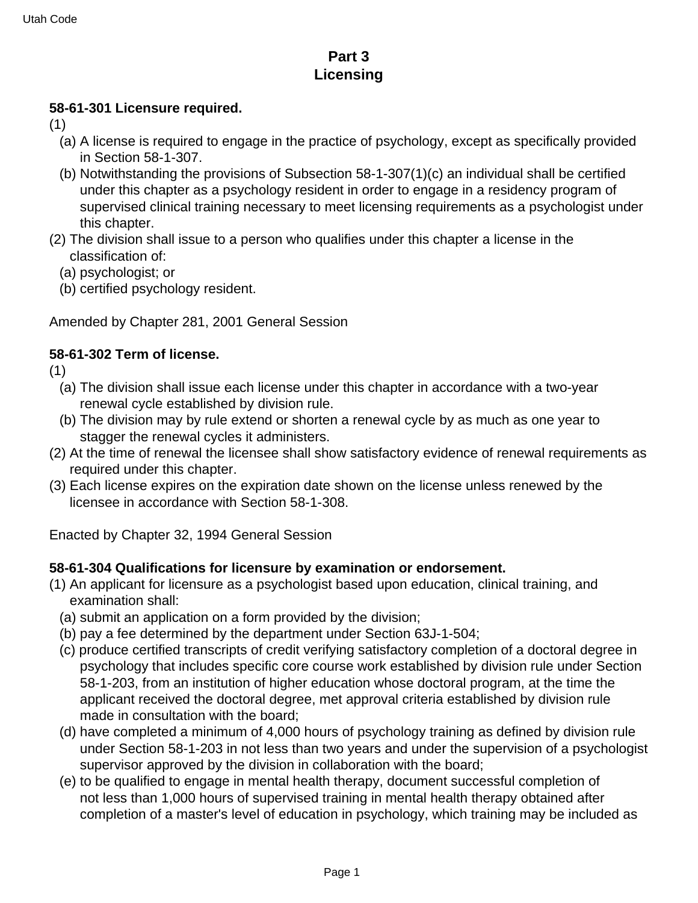# **Part 3 Licensing**

#### **58-61-301 Licensure required.**

- (1)
	- (a) A license is required to engage in the practice of psychology, except as specifically provided in Section 58-1-307.
	- (b) Notwithstanding the provisions of Subsection 58-1-307(1)(c) an individual shall be certified under this chapter as a psychology resident in order to engage in a residency program of supervised clinical training necessary to meet licensing requirements as a psychologist under this chapter.
- (2) The division shall issue to a person who qualifies under this chapter a license in the classification of:
	- (a) psychologist; or
	- (b) certified psychology resident.

Amended by Chapter 281, 2001 General Session

# **58-61-302 Term of license.**

(1)

- (a) The division shall issue each license under this chapter in accordance with a two-year renewal cycle established by division rule.
- (b) The division may by rule extend or shorten a renewal cycle by as much as one year to stagger the renewal cycles it administers.
- (2) At the time of renewal the licensee shall show satisfactory evidence of renewal requirements as required under this chapter.
- (3) Each license expires on the expiration date shown on the license unless renewed by the licensee in accordance with Section 58-1-308.

Enacted by Chapter 32, 1994 General Session

## **58-61-304 Qualifications for licensure by examination or endorsement.**

- (1) An applicant for licensure as a psychologist based upon education, clinical training, and examination shall:
	- (a) submit an application on a form provided by the division;
	- (b) pay a fee determined by the department under Section 63J-1-504;
	- (c) produce certified transcripts of credit verifying satisfactory completion of a doctoral degree in psychology that includes specific core course work established by division rule under Section 58-1-203, from an institution of higher education whose doctoral program, at the time the applicant received the doctoral degree, met approval criteria established by division rule made in consultation with the board;
	- (d) have completed a minimum of 4,000 hours of psychology training as defined by division rule under Section 58-1-203 in not less than two years and under the supervision of a psychologist supervisor approved by the division in collaboration with the board;
	- (e) to be qualified to engage in mental health therapy, document successful completion of not less than 1,000 hours of supervised training in mental health therapy obtained after completion of a master's level of education in psychology, which training may be included as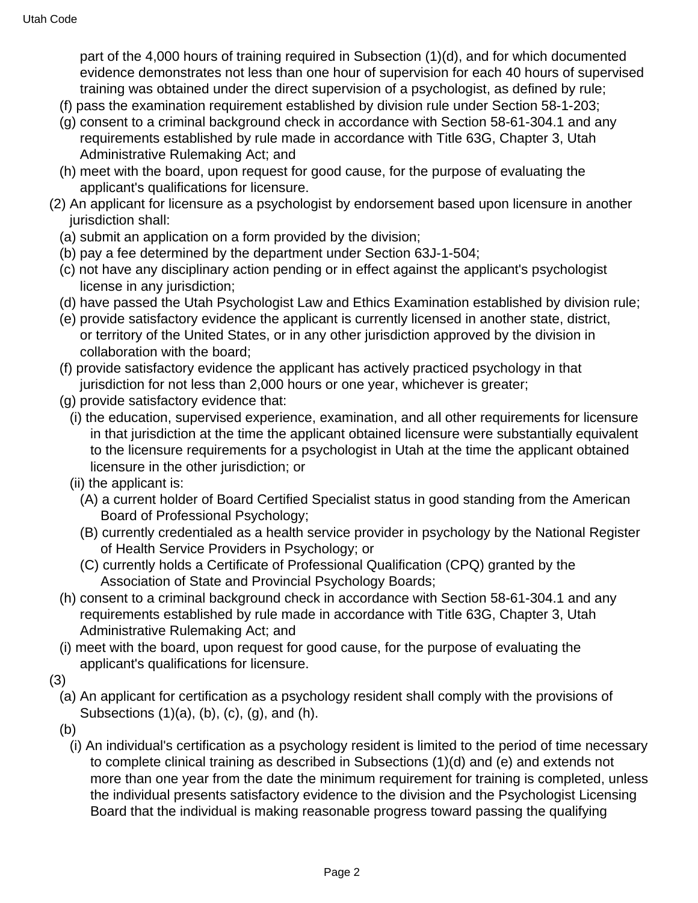part of the 4,000 hours of training required in Subsection (1)(d), and for which documented evidence demonstrates not less than one hour of supervision for each 40 hours of supervised training was obtained under the direct supervision of a psychologist, as defined by rule;

- (f) pass the examination requirement established by division rule under Section 58-1-203;
- (g) consent to a criminal background check in accordance with Section 58-61-304.1 and any requirements established by rule made in accordance with Title 63G, Chapter 3, Utah Administrative Rulemaking Act; and
- (h) meet with the board, upon request for good cause, for the purpose of evaluating the applicant's qualifications for licensure.
- (2) An applicant for licensure as a psychologist by endorsement based upon licensure in another jurisdiction shall:
	- (a) submit an application on a form provided by the division;
	- (b) pay a fee determined by the department under Section 63J-1-504;
	- (c) not have any disciplinary action pending or in effect against the applicant's psychologist license in any jurisdiction;
	- (d) have passed the Utah Psychologist Law and Ethics Examination established by division rule;
	- (e) provide satisfactory evidence the applicant is currently licensed in another state, district, or territory of the United States, or in any other jurisdiction approved by the division in collaboration with the board;
	- (f) provide satisfactory evidence the applicant has actively practiced psychology in that jurisdiction for not less than 2,000 hours or one year, whichever is greater;
	- (g) provide satisfactory evidence that:
		- (i) the education, supervised experience, examination, and all other requirements for licensure in that jurisdiction at the time the applicant obtained licensure were substantially equivalent to the licensure requirements for a psychologist in Utah at the time the applicant obtained licensure in the other jurisdiction; or
		- (ii) the applicant is:
			- (A) a current holder of Board Certified Specialist status in good standing from the American Board of Professional Psychology;
			- (B) currently credentialed as a health service provider in psychology by the National Register of Health Service Providers in Psychology; or
			- (C) currently holds a Certificate of Professional Qualification (CPQ) granted by the Association of State and Provincial Psychology Boards;
	- (h) consent to a criminal background check in accordance with Section 58-61-304.1 and any requirements established by rule made in accordance with Title 63G, Chapter 3, Utah Administrative Rulemaking Act; and
	- (i) meet with the board, upon request for good cause, for the purpose of evaluating the applicant's qualifications for licensure.
- (3)
	- (a) An applicant for certification as a psychology resident shall comply with the provisions of Subsections  $(1)(a)$ ,  $(b)$ ,  $(c)$ ,  $(g)$ , and  $(h)$ .
	- (b)
		- (i) An individual's certification as a psychology resident is limited to the period of time necessary to complete clinical training as described in Subsections (1)(d) and (e) and extends not more than one year from the date the minimum requirement for training is completed, unless the individual presents satisfactory evidence to the division and the Psychologist Licensing Board that the individual is making reasonable progress toward passing the qualifying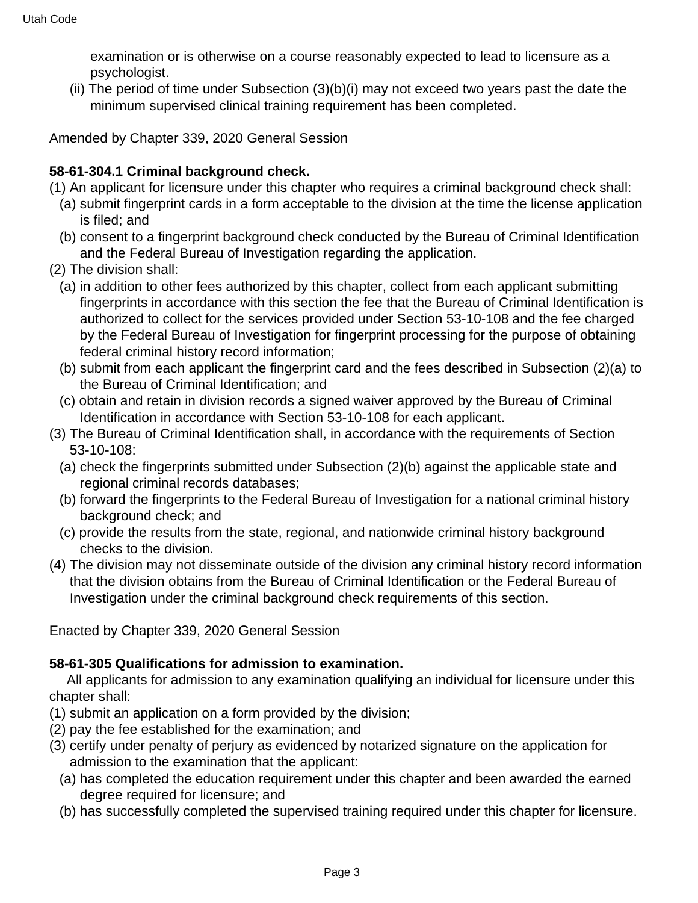examination or is otherwise on a course reasonably expected to lead to licensure as a psychologist.

(ii) The period of time under Subsection (3)(b)(i) may not exceed two years past the date the minimum supervised clinical training requirement has been completed.

Amended by Chapter 339, 2020 General Session

# **58-61-304.1 Criminal background check.**

- (1) An applicant for licensure under this chapter who requires a criminal background check shall:
	- (a) submit fingerprint cards in a form acceptable to the division at the time the license application is filed; and
	- (b) consent to a fingerprint background check conducted by the Bureau of Criminal Identification and the Federal Bureau of Investigation regarding the application.
- (2) The division shall:
	- (a) in addition to other fees authorized by this chapter, collect from each applicant submitting fingerprints in accordance with this section the fee that the Bureau of Criminal Identification is authorized to collect for the services provided under Section 53-10-108 and the fee charged by the Federal Bureau of Investigation for fingerprint processing for the purpose of obtaining federal criminal history record information;
	- (b) submit from each applicant the fingerprint card and the fees described in Subsection (2)(a) to the Bureau of Criminal Identification; and
	- (c) obtain and retain in division records a signed waiver approved by the Bureau of Criminal Identification in accordance with Section 53-10-108 for each applicant.
- (3) The Bureau of Criminal Identification shall, in accordance with the requirements of Section 53-10-108:
	- (a) check the fingerprints submitted under Subsection (2)(b) against the applicable state and regional criminal records databases;
	- (b) forward the fingerprints to the Federal Bureau of Investigation for a national criminal history background check; and
	- (c) provide the results from the state, regional, and nationwide criminal history background checks to the division.
- (4) The division may not disseminate outside of the division any criminal history record information that the division obtains from the Bureau of Criminal Identification or the Federal Bureau of Investigation under the criminal background check requirements of this section.

Enacted by Chapter 339, 2020 General Session

## **58-61-305 Qualifications for admission to examination.**

 All applicants for admission to any examination qualifying an individual for licensure under this chapter shall:

- (1) submit an application on a form provided by the division;
- (2) pay the fee established for the examination; and
- (3) certify under penalty of perjury as evidenced by notarized signature on the application for admission to the examination that the applicant:
	- (a) has completed the education requirement under this chapter and been awarded the earned degree required for licensure; and
	- (b) has successfully completed the supervised training required under this chapter for licensure.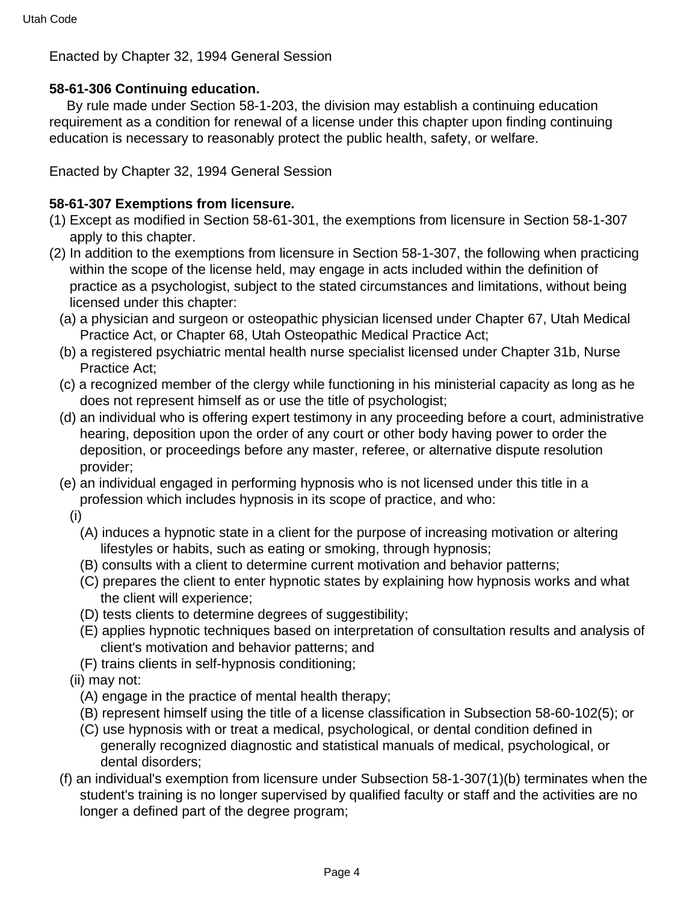Enacted by Chapter 32, 1994 General Session

## **58-61-306 Continuing education.**

 By rule made under Section 58-1-203, the division may establish a continuing education requirement as a condition for renewal of a license under this chapter upon finding continuing education is necessary to reasonably protect the public health, safety, or welfare.

Enacted by Chapter 32, 1994 General Session

# **58-61-307 Exemptions from licensure.**

- (1) Except as modified in Section 58-61-301, the exemptions from licensure in Section 58-1-307 apply to this chapter.
- (2) In addition to the exemptions from licensure in Section 58-1-307, the following when practicing within the scope of the license held, may engage in acts included within the definition of practice as a psychologist, subject to the stated circumstances and limitations, without being licensed under this chapter:
	- (a) a physician and surgeon or osteopathic physician licensed under Chapter 67, Utah Medical Practice Act, or Chapter 68, Utah Osteopathic Medical Practice Act;
	- (b) a registered psychiatric mental health nurse specialist licensed under Chapter 31b, Nurse Practice Act;
	- (c) a recognized member of the clergy while functioning in his ministerial capacity as long as he does not represent himself as or use the title of psychologist;
	- (d) an individual who is offering expert testimony in any proceeding before a court, administrative hearing, deposition upon the order of any court or other body having power to order the deposition, or proceedings before any master, referee, or alternative dispute resolution provider;
	- (e) an individual engaged in performing hypnosis who is not licensed under this title in a profession which includes hypnosis in its scope of practice, and who:
		- (i)
			- (A) induces a hypnotic state in a client for the purpose of increasing motivation or altering lifestyles or habits, such as eating or smoking, through hypnosis;
			- (B) consults with a client to determine current motivation and behavior patterns;
			- (C) prepares the client to enter hypnotic states by explaining how hypnosis works and what the client will experience;
			- (D) tests clients to determine degrees of suggestibility;
			- (E) applies hypnotic techniques based on interpretation of consultation results and analysis of client's motivation and behavior patterns; and
			- (F) trains clients in self-hypnosis conditioning;
		- (ii) may not:
			- (A) engage in the practice of mental health therapy;
			- (B) represent himself using the title of a license classification in Subsection 58-60-102(5); or
			- (C) use hypnosis with or treat a medical, psychological, or dental condition defined in generally recognized diagnostic and statistical manuals of medical, psychological, or dental disorders;
	- (f) an individual's exemption from licensure under Subsection 58-1-307(1)(b) terminates when the student's training is no longer supervised by qualified faculty or staff and the activities are no longer a defined part of the degree program;